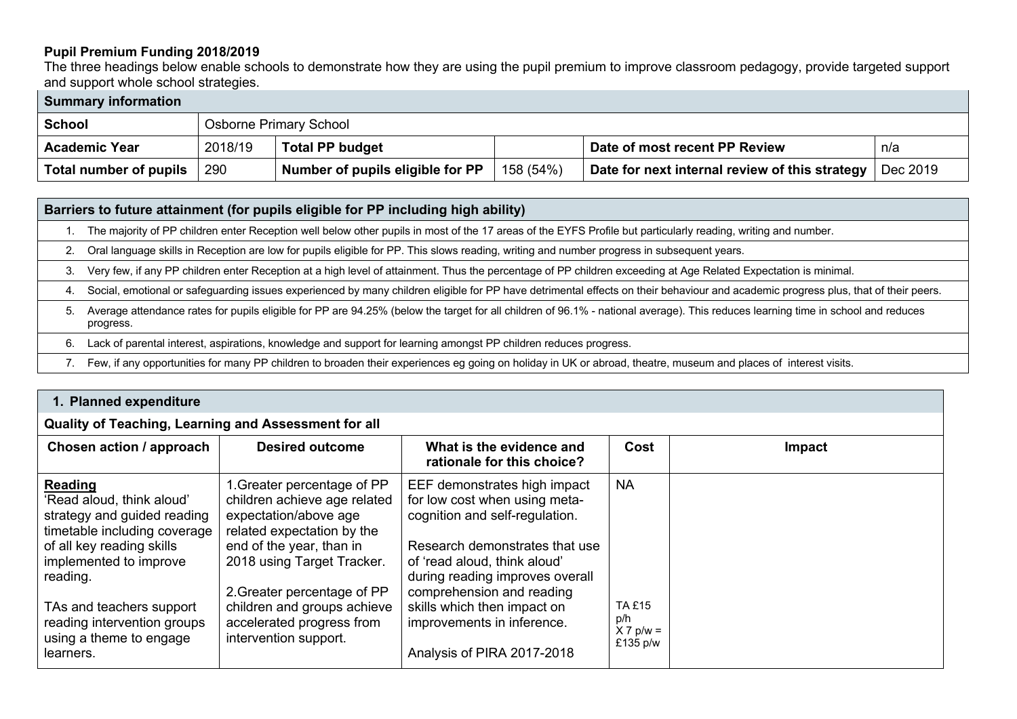## **Pupil Premium Funding 2018/2019**

The three headings below enable schools to demonstrate how they are using the pupil premium to improve classroom pedagogy, provide targeted support and support whole school strategies.

| <b>Summary information</b> |         |                                  |           |                                                |          |
|----------------------------|---------|----------------------------------|-----------|------------------------------------------------|----------|
| <b>School</b>              |         | Osborne Primary School           |           |                                                |          |
| <b>Academic Year</b>       | 2018/19 | <b>Total PP budget</b>           |           | Date of most recent PP Review                  | n/a      |
| Total number of pupils     | 290     | Number of pupils eligible for PP | 158 (54%) | Date for next internal review of this strategy | Dec 2019 |

## **Barriers to future attainment (for pupils eligible for PP including high ability)**

1. The majority of PP children enter Reception well below other pupils in most of the 17 areas of the EYFS Profile but particularly reading, writing and number.

2. Oral language skills in Reception are low for pupils eligible for PP. This slows reading, writing and number progress in subsequent years.

3. Very few, if any PP children enter Reception at a high level of attainment. Thus the percentage of PP children exceeding at Age Related Expectation is minimal.

4. Social, emotional or safeguarding issues experienced by many children eligible for PP have detrimental effects on their behaviour and academic progress plus, that of their peers.

- 5. Average attendance rates for pupils eligible for PP are 94.25% (below the target for all children of 96.1% national average). This reduces learning time in school and reduces progress.
- 6. Lack of parental interest, aspirations, knowledge and support for learning amongst PP children reduces progress.
- 7. Few, if any opportunities for many PP children to broaden their experiences eg going on holiday in UK or abroad, theatre, museum and places of interest visits.

| 1. Planned expenditure                                                                                                                                                                                                                                                           |                                                                                                                                                                                                                                                                                                  |                                                                                                                                                                                                                                                                                                                              |                                                              |               |
|----------------------------------------------------------------------------------------------------------------------------------------------------------------------------------------------------------------------------------------------------------------------------------|--------------------------------------------------------------------------------------------------------------------------------------------------------------------------------------------------------------------------------------------------------------------------------------------------|------------------------------------------------------------------------------------------------------------------------------------------------------------------------------------------------------------------------------------------------------------------------------------------------------------------------------|--------------------------------------------------------------|---------------|
| Quality of Teaching, Learning and Assessment for all                                                                                                                                                                                                                             |                                                                                                                                                                                                                                                                                                  |                                                                                                                                                                                                                                                                                                                              |                                                              |               |
| Chosen action / approach                                                                                                                                                                                                                                                         | <b>Desired outcome</b>                                                                                                                                                                                                                                                                           | What is the evidence and<br>rationale for this choice?                                                                                                                                                                                                                                                                       | Cost                                                         | <b>Impact</b> |
| <b>Reading</b><br>'Read aloud, think aloud'<br>strategy and guided reading<br>timetable including coverage<br>of all key reading skills<br>implemented to improve<br>reading.<br>TAs and teachers support<br>reading intervention groups<br>using a theme to engage<br>learners. | 1. Greater percentage of PP<br>children achieve age related<br>expectation/above age<br>related expectation by the<br>end of the year, than in<br>2018 using Target Tracker.<br>2. Greater percentage of PP<br>children and groups achieve<br>accelerated progress from<br>intervention support. | EEF demonstrates high impact<br>for low cost when using meta-<br>cognition and self-regulation.<br>Research demonstrates that use<br>of 'read aloud, think aloud'<br>during reading improves overall<br>comprehension and reading<br>skills which then impact on<br>improvements in inference.<br>Analysis of PIRA 2017-2018 | <b>NA</b><br><b>TA £15</b><br>p/h<br>$X 7 p/w =$<br>£135 p/w |               |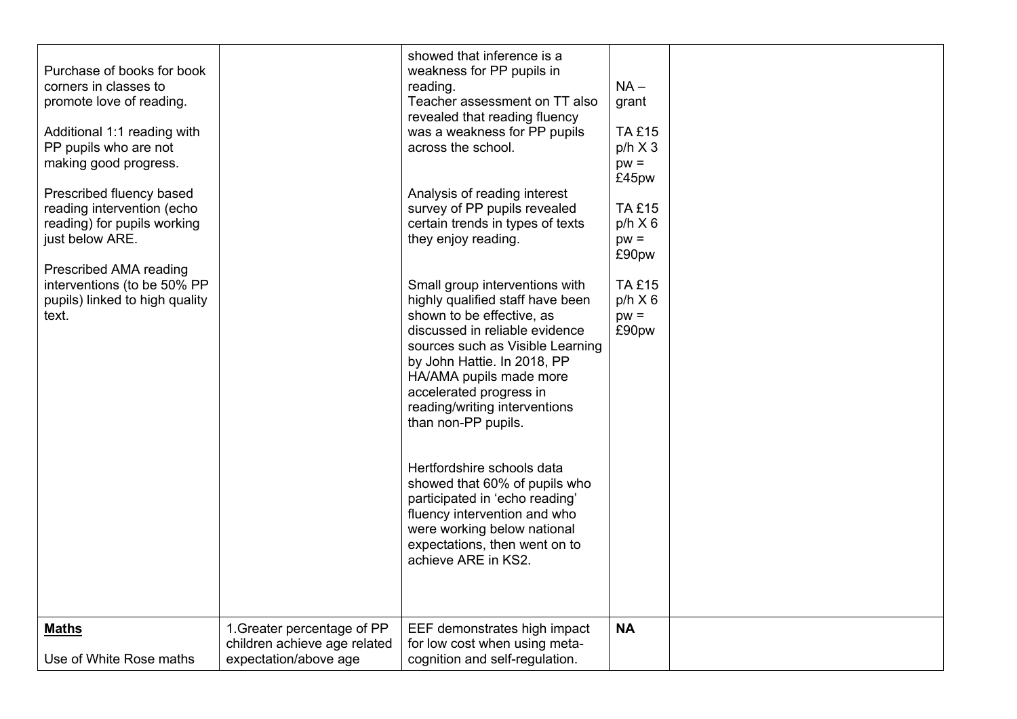| Purchase of books for book<br>corners in classes to<br>promote love of reading.<br>Additional 1:1 reading with<br>PP pupils who are not<br>making good progress.<br>Prescribed fluency based<br>reading intervention (echo<br>reading) for pupils working<br>just below ARE.<br>Prescribed AMA reading<br>interventions (to be 50% PP<br>pupils) linked to high quality<br>text. |                                                                                      | showed that inference is a<br>weakness for PP pupils in<br>reading.<br>Teacher assessment on TT also<br>revealed that reading fluency<br>was a weakness for PP pupils<br>across the school.<br>Analysis of reading interest<br>survey of PP pupils revealed<br>certain trends in types of texts<br>they enjoy reading.<br>Small group interventions with<br>highly qualified staff have been<br>shown to be effective, as<br>discussed in reliable evidence<br>sources such as Visible Learning<br>by John Hattie. In 2018, PP<br>HA/AMA pupils made more<br>accelerated progress in<br>reading/writing interventions<br>than non-PP pupils.<br>Hertfordshire schools data<br>showed that 60% of pupils who<br>participated in 'echo reading'<br>fluency intervention and who<br>were working below national<br>expectations, then went on to<br>achieve ARE in KS2. | $NA -$<br>grant<br><b>TA £15</b><br>$p/h \times 3$<br>$pw =$<br>£45pw<br><b>TA £15</b><br>$p/h \times 6$<br>$pw =$<br>£90pw<br><b>TA £15</b><br>$p/h \times 6$<br>$pw =$<br>£90pw |  |
|----------------------------------------------------------------------------------------------------------------------------------------------------------------------------------------------------------------------------------------------------------------------------------------------------------------------------------------------------------------------------------|--------------------------------------------------------------------------------------|----------------------------------------------------------------------------------------------------------------------------------------------------------------------------------------------------------------------------------------------------------------------------------------------------------------------------------------------------------------------------------------------------------------------------------------------------------------------------------------------------------------------------------------------------------------------------------------------------------------------------------------------------------------------------------------------------------------------------------------------------------------------------------------------------------------------------------------------------------------------|-----------------------------------------------------------------------------------------------------------------------------------------------------------------------------------|--|
| <b>Maths</b><br>Use of White Rose maths                                                                                                                                                                                                                                                                                                                                          | 1. Greater percentage of PP<br>children achieve age related<br>expectation/above age | EEF demonstrates high impact<br>for low cost when using meta-<br>cognition and self-regulation.                                                                                                                                                                                                                                                                                                                                                                                                                                                                                                                                                                                                                                                                                                                                                                      | <b>NA</b>                                                                                                                                                                         |  |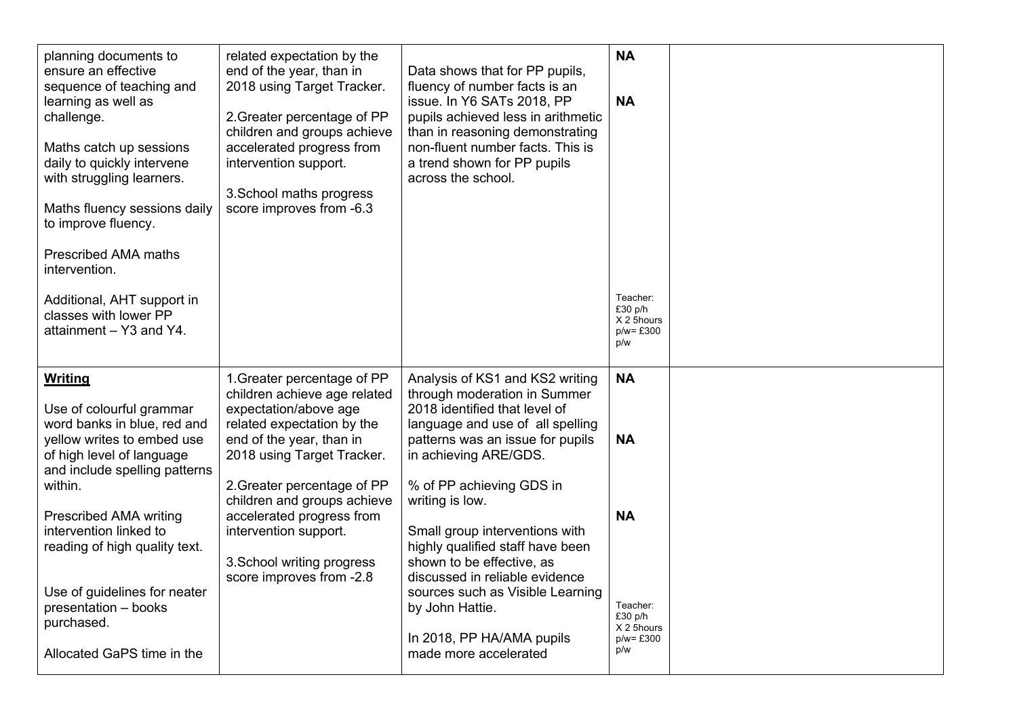| planning documents to<br>ensure an effective<br>sequence of teaching and<br>learning as well as<br>challenge.<br>Maths catch up sessions<br>daily to quickly intervene<br>with struggling learners.<br>Maths fluency sessions daily<br>to improve fluency.<br><b>Prescribed AMA maths</b><br>intervention.<br>Additional, AHT support in<br>classes with lower PP<br>attainment - Y3 and Y4. | related expectation by the<br>end of the year, than in<br>2018 using Target Tracker.<br>2. Greater percentage of PP<br>children and groups achieve<br>accelerated progress from<br>intervention support.<br>3. School maths progress<br>score improves from -6.3                                                                                           | Data shows that for PP pupils,<br>fluency of number facts is an<br>issue. In Y6 SATs 2018, PP<br>pupils achieved less in arithmetic<br>than in reasoning demonstrating<br>non-fluent number facts. This is<br>a trend shown for PP pupils<br>across the school.                                                                                                                                                                                                                                    | <b>NA</b><br><b>NA</b><br>Teacher:<br>£30 p/h<br>X 2 5hours<br>$p/w = £300$<br>p/w              |  |
|----------------------------------------------------------------------------------------------------------------------------------------------------------------------------------------------------------------------------------------------------------------------------------------------------------------------------------------------------------------------------------------------|------------------------------------------------------------------------------------------------------------------------------------------------------------------------------------------------------------------------------------------------------------------------------------------------------------------------------------------------------------|----------------------------------------------------------------------------------------------------------------------------------------------------------------------------------------------------------------------------------------------------------------------------------------------------------------------------------------------------------------------------------------------------------------------------------------------------------------------------------------------------|-------------------------------------------------------------------------------------------------|--|
| <b>Writing</b><br>Use of colourful grammar<br>word banks in blue, red and<br>yellow writes to embed use<br>of high level of language<br>and include spelling patterns<br>within.<br><b>Prescribed AMA writing</b><br>intervention linked to<br>reading of high quality text.<br>Use of guidelines for neater<br>presentation - books<br>purchased.<br>Allocated GaPS time in the             | 1. Greater percentage of PP<br>children achieve age related<br>expectation/above age<br>related expectation by the<br>end of the year, than in<br>2018 using Target Tracker.<br>2. Greater percentage of PP<br>children and groups achieve<br>accelerated progress from<br>intervention support.<br>3. School writing progress<br>score improves from -2.8 | Analysis of KS1 and KS2 writing<br>through moderation in Summer<br>2018 identified that level of<br>language and use of all spelling<br>patterns was an issue for pupils<br>in achieving ARE/GDS.<br>% of PP achieving GDS in<br>writing is low.<br>Small group interventions with<br>highly qualified staff have been<br>shown to be effective, as<br>discussed in reliable evidence<br>sources such as Visible Learning<br>by John Hattie.<br>In 2018, PP HA/AMA pupils<br>made more accelerated | <b>NA</b><br><b>NA</b><br><b>NA</b><br>Teacher:<br>£30 p/h<br>X 2 5hours<br>$p/w = £300$<br>p/w |  |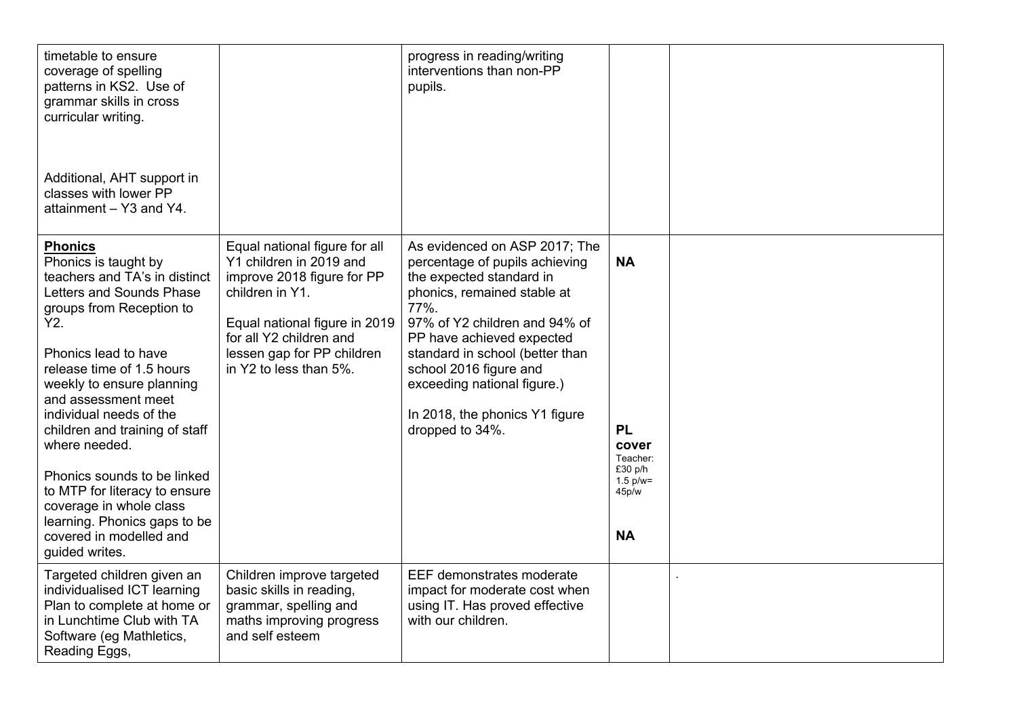| timetable to ensure<br>coverage of spelling<br>patterns in KS2. Use of<br>grammar skills in cross<br>curricular writing.<br>Additional, AHT support in<br>classes with lower PP<br>attainment - Y3 and Y4.                                                                                                                                                                                                                                                                                            |                                                                                                                                                                                                                               | progress in reading/writing<br>interventions than non-PP<br>pupils.                                                                                                                                                                                                                                                                               |                                                                                             |  |
|-------------------------------------------------------------------------------------------------------------------------------------------------------------------------------------------------------------------------------------------------------------------------------------------------------------------------------------------------------------------------------------------------------------------------------------------------------------------------------------------------------|-------------------------------------------------------------------------------------------------------------------------------------------------------------------------------------------------------------------------------|---------------------------------------------------------------------------------------------------------------------------------------------------------------------------------------------------------------------------------------------------------------------------------------------------------------------------------------------------|---------------------------------------------------------------------------------------------|--|
| <b>Phonics</b><br>Phonics is taught by<br>teachers and TA's in distinct<br>Letters and Sounds Phase<br>groups from Reception to<br>Y2.<br>Phonics lead to have<br>release time of 1.5 hours<br>weekly to ensure planning<br>and assessment meet<br>individual needs of the<br>children and training of staff<br>where needed.<br>Phonics sounds to be linked<br>to MTP for literacy to ensure<br>coverage in whole class<br>learning. Phonics gaps to be<br>covered in modelled and<br>guided writes. | Equal national figure for all<br>Y1 children in 2019 and<br>improve 2018 figure for PP<br>children in Y1.<br>Equal national figure in 2019<br>for all Y2 children and<br>lessen gap for PP children<br>in Y2 to less than 5%. | As evidenced on ASP 2017; The<br>percentage of pupils achieving<br>the expected standard in<br>phonics, remained stable at<br>77%.<br>97% of Y2 children and 94% of<br>PP have achieved expected<br>standard in school (better than<br>school 2016 figure and<br>exceeding national figure.)<br>In 2018, the phonics Y1 figure<br>dropped to 34%. | <b>NA</b><br><b>PL</b><br>cover<br>Teacher:<br>£30 p/h<br>$1.5 p/w =$<br>45p/w<br><b>NA</b> |  |
| Targeted children given an<br>individualised ICT learning<br>Plan to complete at home or<br>in Lunchtime Club with TA<br>Software (eg Mathletics,<br>Reading Eggs,                                                                                                                                                                                                                                                                                                                                    | Children improve targeted<br>basic skills in reading,<br>grammar, spelling and<br>maths improving progress<br>and self esteem                                                                                                 | EEF demonstrates moderate<br>impact for moderate cost when<br>using IT. Has proved effective<br>with our children.                                                                                                                                                                                                                                |                                                                                             |  |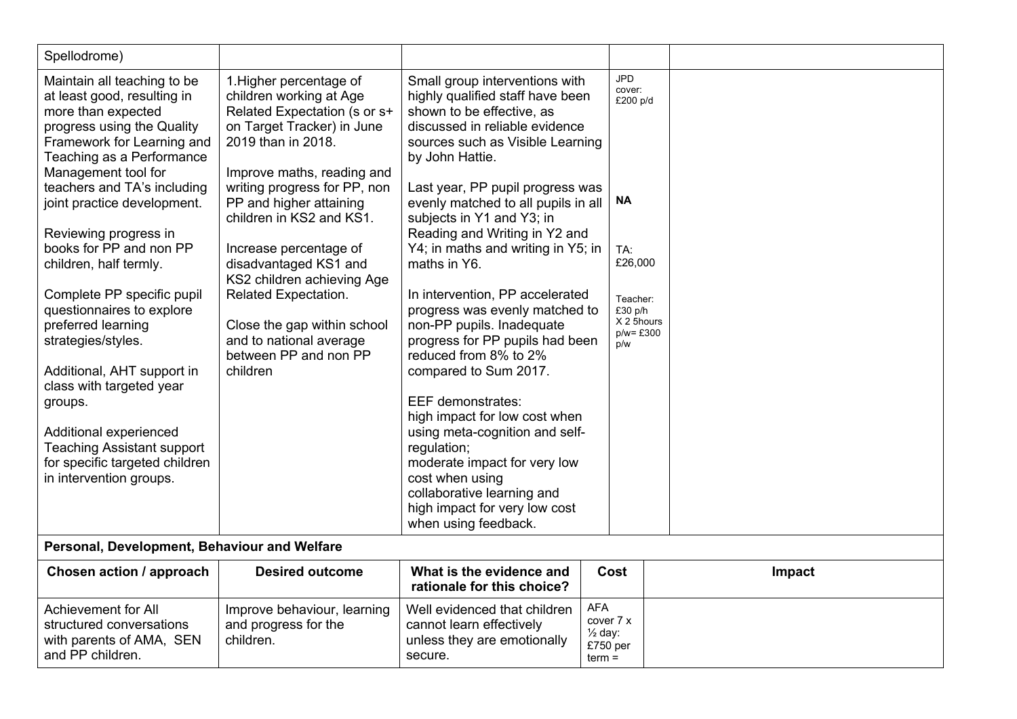| Spellodrome)                                                                                                                                                                                                                                                                                                                                                                                                                                                                                                                                                                                                                                         |                                                                                                                                                                                                                                                                                                                                                                                                                                                                     |                                                                                                                                                                                                                                                                                                                                                                                                                                                                                                                                                                                                                                                                                                                                                                                                                                        |                                                                       |                                                                          |        |
|------------------------------------------------------------------------------------------------------------------------------------------------------------------------------------------------------------------------------------------------------------------------------------------------------------------------------------------------------------------------------------------------------------------------------------------------------------------------------------------------------------------------------------------------------------------------------------------------------------------------------------------------------|---------------------------------------------------------------------------------------------------------------------------------------------------------------------------------------------------------------------------------------------------------------------------------------------------------------------------------------------------------------------------------------------------------------------------------------------------------------------|----------------------------------------------------------------------------------------------------------------------------------------------------------------------------------------------------------------------------------------------------------------------------------------------------------------------------------------------------------------------------------------------------------------------------------------------------------------------------------------------------------------------------------------------------------------------------------------------------------------------------------------------------------------------------------------------------------------------------------------------------------------------------------------------------------------------------------------|-----------------------------------------------------------------------|--------------------------------------------------------------------------|--------|
| Maintain all teaching to be<br>at least good, resulting in<br>more than expected<br>progress using the Quality<br>Framework for Learning and<br>Teaching as a Performance<br>Management tool for<br>teachers and TA's including<br>joint practice development.<br>Reviewing progress in<br>books for PP and non PP<br>children, half termly.<br>Complete PP specific pupil<br>questionnaires to explore<br>preferred learning<br>strategies/styles.<br>Additional, AHT support in<br>class with targeted year<br>groups.<br>Additional experienced<br><b>Teaching Assistant support</b><br>for specific targeted children<br>in intervention groups. | 1. Higher percentage of<br>children working at Age<br>Related Expectation (s or s+<br>on Target Tracker) in June<br>2019 than in 2018.<br>Improve maths, reading and<br>writing progress for PP, non<br>PP and higher attaining<br>children in KS2 and KS1.<br>Increase percentage of<br>disadvantaged KS1 and<br>KS2 children achieving Age<br>Related Expectation.<br>Close the gap within school<br>and to national average<br>between PP and non PP<br>children | Small group interventions with<br>highly qualified staff have been<br>shown to be effective, as<br>discussed in reliable evidence<br>sources such as Visible Learning<br>by John Hattie.<br>Last year, PP pupil progress was<br>evenly matched to all pupils in all<br>subjects in Y1 and Y3; in<br>Reading and Writing in Y2 and<br>Y4; in maths and writing in Y5; in<br>maths in Y6.<br>In intervention, PP accelerated<br>progress was evenly matched to<br>non-PP pupils. Inadequate<br>progress for PP pupils had been<br>reduced from 8% to 2%<br>compared to Sum 2017.<br><b>EEF</b> demonstrates:<br>high impact for low cost when<br>using meta-cognition and self-<br>regulation;<br>moderate impact for very low<br>cost when using<br>collaborative learning and<br>high impact for very low cost<br>when using feedback. | JPD<br>cover:<br>NΑ<br>TA:<br>p/w                                     | £200 p/d<br>£26,000<br>Teacher:<br>£30 p/h<br>X 2 5hours<br>$p/w = £300$ |        |
| Personal, Development, Behaviour and Welfare                                                                                                                                                                                                                                                                                                                                                                                                                                                                                                                                                                                                         |                                                                                                                                                                                                                                                                                                                                                                                                                                                                     |                                                                                                                                                                                                                                                                                                                                                                                                                                                                                                                                                                                                                                                                                                                                                                                                                                        |                                                                       |                                                                          |        |
| <b>Chosen action / approach</b>                                                                                                                                                                                                                                                                                                                                                                                                                                                                                                                                                                                                                      | <b>Desired outcome</b>                                                                                                                                                                                                                                                                                                                                                                                                                                              | What is the evidence and<br>rationale for this choice?                                                                                                                                                                                                                                                                                                                                                                                                                                                                                                                                                                                                                                                                                                                                                                                 | Cost                                                                  |                                                                          | Impact |
| <b>Achievement for All</b><br>structured conversations<br>with parents of AMA, SEN<br>and PP children.                                                                                                                                                                                                                                                                                                                                                                                                                                                                                                                                               | Improve behaviour, learning<br>and progress for the<br>children.                                                                                                                                                                                                                                                                                                                                                                                                    | Well evidenced that children<br>cannot learn effectively<br>unless they are emotionally<br>secure.                                                                                                                                                                                                                                                                                                                                                                                                                                                                                                                                                                                                                                                                                                                                     | <b>AFA</b><br>cover 7 x<br>$\frac{1}{2}$ day:<br>£750 per<br>$term =$ |                                                                          |        |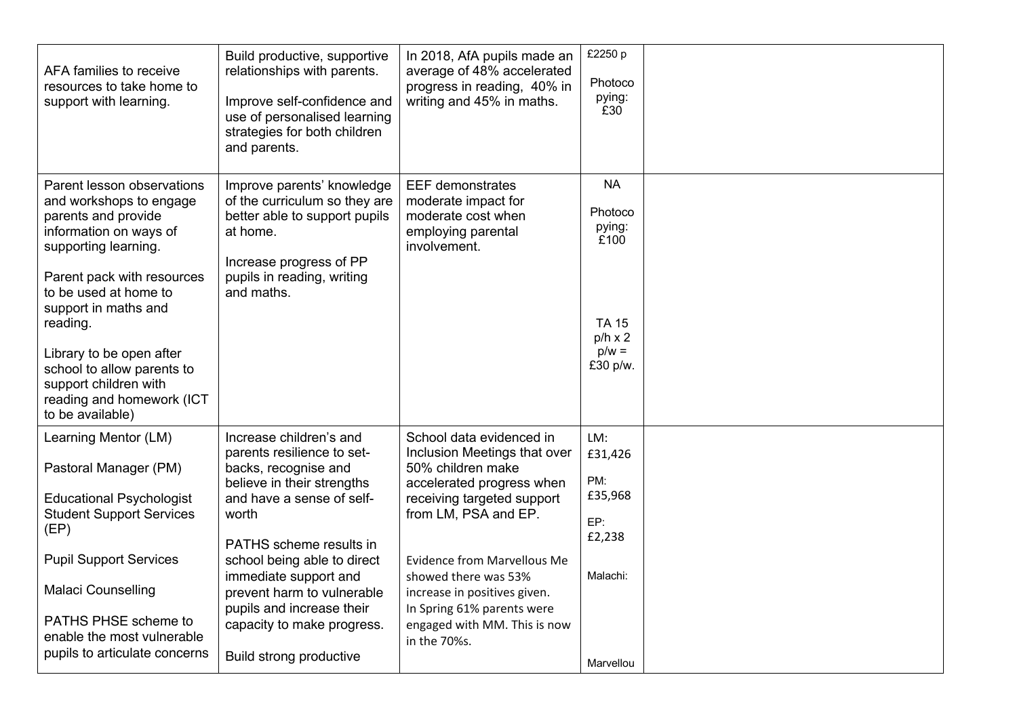| AFA families to receive<br>resources to take home to<br>support with learning.                                                                                                                                                                                                                                                                                | Build productive, supportive<br>relationships with parents.<br>Improve self-confidence and<br>use of personalised learning<br>strategies for both children<br>and parents.                                                                                                                                                                               | In 2018, AfA pupils made an<br>average of 48% accelerated<br>progress in reading, 40% in<br>writing and 45% in maths.                                                                                                                                                                                                                        | £2250 p<br>Photoco<br>pying:<br>£30                                                             |  |
|---------------------------------------------------------------------------------------------------------------------------------------------------------------------------------------------------------------------------------------------------------------------------------------------------------------------------------------------------------------|----------------------------------------------------------------------------------------------------------------------------------------------------------------------------------------------------------------------------------------------------------------------------------------------------------------------------------------------------------|----------------------------------------------------------------------------------------------------------------------------------------------------------------------------------------------------------------------------------------------------------------------------------------------------------------------------------------------|-------------------------------------------------------------------------------------------------|--|
| Parent lesson observations<br>and workshops to engage<br>parents and provide<br>information on ways of<br>supporting learning.<br>Parent pack with resources<br>to be used at home to<br>support in maths and<br>reading.<br>Library to be open after<br>school to allow parents to<br>support children with<br>reading and homework (ICT<br>to be available) | Improve parents' knowledge<br>of the curriculum so they are<br>better able to support pupils<br>at home.<br>Increase progress of PP<br>pupils in reading, writing<br>and maths.                                                                                                                                                                          | <b>EEF</b> demonstrates<br>moderate impact for<br>moderate cost when<br>employing parental<br>involvement.                                                                                                                                                                                                                                   | <b>NA</b><br>Photoco<br>pying:<br>£100<br><b>TA 15</b><br>$p/h \times 2$<br>$p/w =$<br>£30 p/w. |  |
| Learning Mentor (LM)<br>Pastoral Manager (PM)<br><b>Educational Psychologist</b><br><b>Student Support Services</b><br>(EP)<br><b>Pupil Support Services</b><br><b>Malaci Counselling</b><br>PATHS PHSE scheme to<br>enable the most vulnerable<br>pupils to articulate concerns                                                                              | Increase children's and<br>parents resilience to set-<br>backs, recognise and<br>believe in their strengths<br>and have a sense of self-<br>worth<br>PATHS scheme results in<br>school being able to direct<br>immediate support and<br>prevent harm to vulnerable<br>pupils and increase their<br>capacity to make progress.<br>Build strong productive | School data evidenced in<br>Inclusion Meetings that over<br>50% children make<br>accelerated progress when<br>receiving targeted support<br>from LM, PSA and EP.<br><b>Evidence from Marvellous Me</b><br>showed there was 53%<br>increase in positives given.<br>In Spring 61% parents were<br>engaged with MM. This is now<br>in the 70%s. | LM:<br>£31,426<br>PM:<br>£35,968<br>EP:<br>£2,238<br>Malachi:<br>Marvellou                      |  |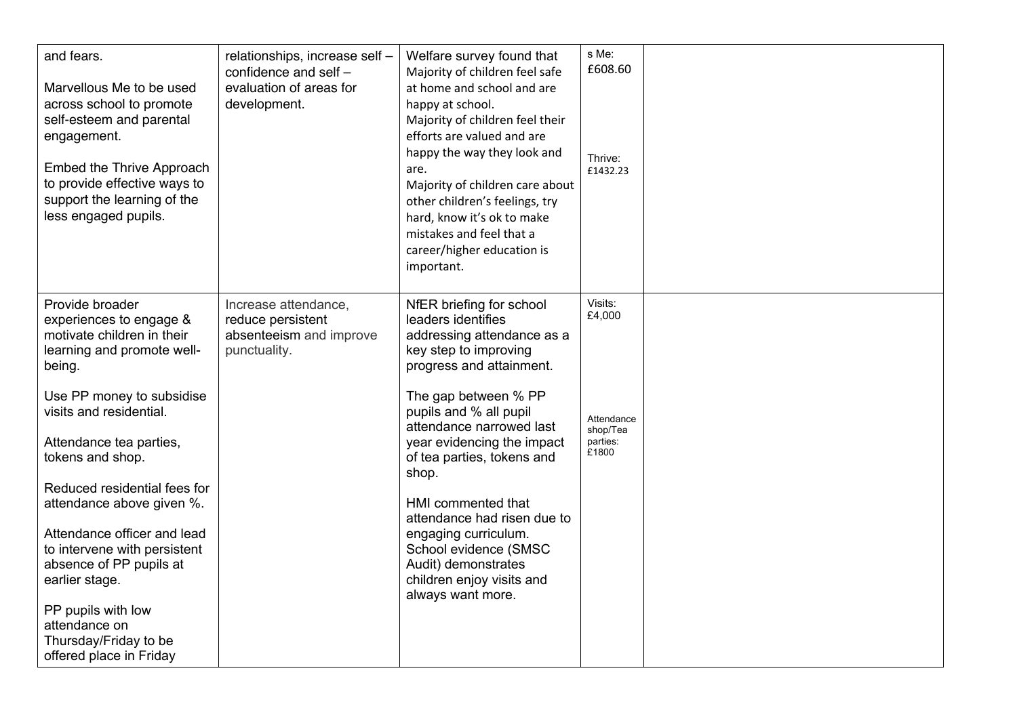| and fears.<br>Marvellous Me to be used<br>across school to promote<br>self-esteem and parental<br>engagement.<br>Embed the Thrive Approach<br>to provide effective ways to<br>support the learning of the<br>less engaged pupils. | relationships, increase self -<br>confidence and self -<br>evaluation of areas for<br>development. | Welfare survey found that<br>Majority of children feel safe<br>at home and school and are<br>happy at school.<br>Majority of children feel their<br>efforts are valued and are<br>happy the way they look and<br>are.<br>Majority of children care about<br>other children's feelings, try<br>hard, know it's ok to make<br>mistakes and feel that a<br>career/higher education is<br>important. | s Me:<br>£608.60<br>Thrive:<br>£1432.23     |  |
|-----------------------------------------------------------------------------------------------------------------------------------------------------------------------------------------------------------------------------------|----------------------------------------------------------------------------------------------------|--------------------------------------------------------------------------------------------------------------------------------------------------------------------------------------------------------------------------------------------------------------------------------------------------------------------------------------------------------------------------------------------------|---------------------------------------------|--|
| Provide broader<br>experiences to engage &<br>motivate children in their<br>learning and promote well-<br>being.                                                                                                                  | Increase attendance,<br>reduce persistent<br>absenteeism and improve<br>punctuality.               | NfER briefing for school<br>leaders identifies<br>addressing attendance as a<br>key step to improving<br>progress and attainment.                                                                                                                                                                                                                                                                | Visits:<br>£4,000                           |  |
| Use PP money to subsidise<br>visits and residential.<br>Attendance tea parties,<br>tokens and shop.                                                                                                                               |                                                                                                    | The gap between % PP<br>pupils and % all pupil<br>attendance narrowed last<br>year evidencing the impact<br>of tea parties, tokens and<br>shop.                                                                                                                                                                                                                                                  | Attendance<br>shop/Tea<br>parties:<br>£1800 |  |
| Reduced residential fees for<br>attendance above given %.<br>Attendance officer and lead                                                                                                                                          |                                                                                                    | HMI commented that<br>attendance had risen due to<br>engaging curriculum.                                                                                                                                                                                                                                                                                                                        |                                             |  |
| to intervene with persistent<br>absence of PP pupils at<br>earlier stage.                                                                                                                                                         |                                                                                                    | School evidence (SMSC<br>Audit) demonstrates<br>children enjoy visits and<br>always want more.                                                                                                                                                                                                                                                                                                   |                                             |  |
| PP pupils with low<br>attendance on<br>Thursday/Friday to be<br>offered place in Friday                                                                                                                                           |                                                                                                    |                                                                                                                                                                                                                                                                                                                                                                                                  |                                             |  |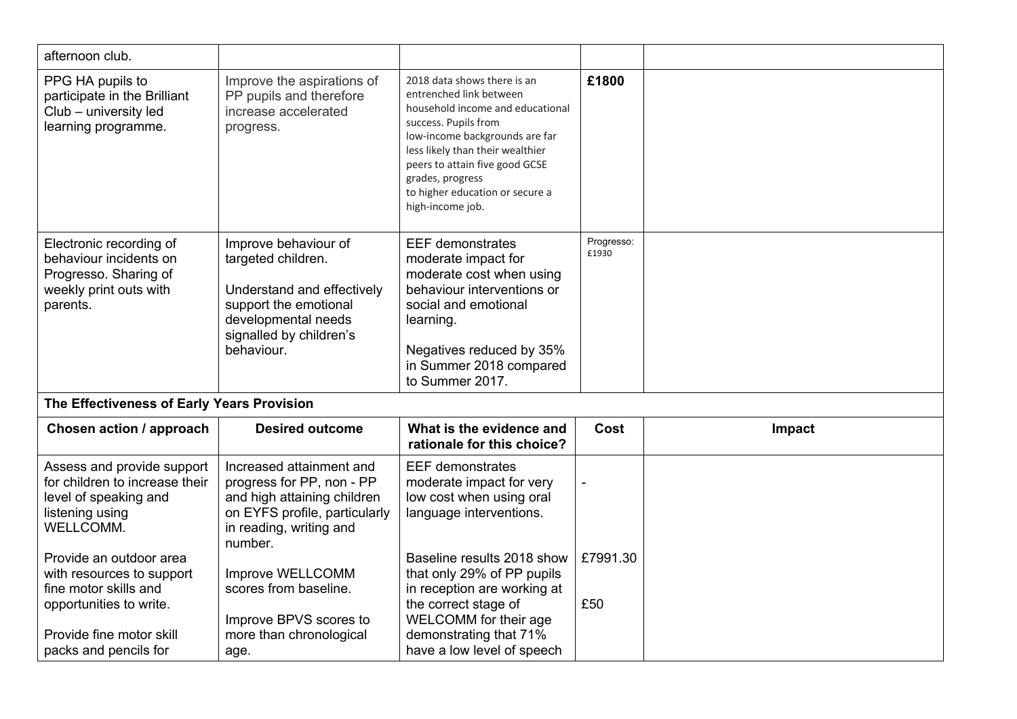| afternoon club.                                                                                                                                               |                                                                                                                                                                   |                                                                                                                                                                                                                                                                                                       |                     |        |
|---------------------------------------------------------------------------------------------------------------------------------------------------------------|-------------------------------------------------------------------------------------------------------------------------------------------------------------------|-------------------------------------------------------------------------------------------------------------------------------------------------------------------------------------------------------------------------------------------------------------------------------------------------------|---------------------|--------|
| PPG HA pupils to<br>participate in the Brilliant<br>Club - university led<br>learning programme.                                                              | Improve the aspirations of<br>PP pupils and therefore<br>increase accelerated<br>progress.                                                                        | 2018 data shows there is an<br>entrenched link between<br>household income and educational<br>success. Pupils from<br>low-income backgrounds are far<br>less likely than their wealthier<br>peers to attain five good GCSE<br>grades, progress<br>to higher education or secure a<br>high-income job. | £1800               |        |
| Electronic recording of<br>behaviour incidents on<br>Progresso. Sharing of<br>weekly print outs with<br>parents.                                              | Improve behaviour of<br>targeted children.<br>Understand and effectively<br>support the emotional<br>developmental needs<br>signalled by children's<br>behaviour. | <b>EEF</b> demonstrates<br>moderate impact for<br>moderate cost when using<br>behaviour interventions or<br>social and emotional<br>learning.<br>Negatives reduced by 35%<br>in Summer 2018 compared<br>to Summer 2017.                                                                               | Progresso:<br>£1930 |        |
| The Effectiveness of Early Years Provision                                                                                                                    |                                                                                                                                                                   |                                                                                                                                                                                                                                                                                                       |                     |        |
| <b>Chosen action / approach</b>                                                                                                                               | <b>Desired outcome</b>                                                                                                                                            | What is the evidence and<br>rationale for this choice?                                                                                                                                                                                                                                                | Cost                | Impact |
| Assess and provide support<br>for children to increase their<br>level of speaking and<br>listening using<br>WELLCOMM.                                         | Increased attainment and<br>progress for PP, non - PP<br>and high attaining children<br>on EYFS profile, particularly<br>in reading, writing and<br>number.       | <b>EEF</b> demonstrates<br>moderate impact for very<br>low cost when using oral<br>language interventions.                                                                                                                                                                                            |                     |        |
| Provide an outdoor area<br>with resources to support<br>fine motor skills and<br>opportunities to write.<br>Provide fine motor skill<br>packs and pencils for | Improve WELLCOMM<br>scores from baseline.<br>Improve BPVS scores to<br>more than chronological<br>age.                                                            | Baseline results 2018 show<br>that only 29% of PP pupils<br>in reception are working at<br>the correct stage of<br>WELCOMM for their age<br>demonstrating that 71%<br>have a low level of speech                                                                                                      | £7991.30<br>£50     |        |